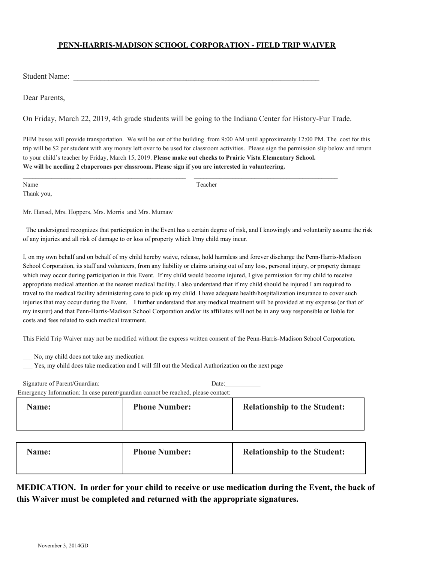## **PENN-HARRIS-MADISON SCHOOL CORPORATION - FIELD TRIP WAIVER**

Student Name:

Dear Parents,

On Friday, March 22, 2019, 4th grade students will be going to the Indiana Center for History-Fur Trade.

PHM buses will provide transportation. We will be out of the building from 9:00 AM until approximately 12:00 PM. The cost for this trip will be \$2 per student with any money left over to be used for classroom activities. Please sign the permission slip below and return to your child's teacher by Friday, March 15, 2019. **Please make out checks to Prairie Vista Elementary School. We will be needing 2 chaperones per classroom. Please sign if you are interested in volunteering.**

Thank you,

Name Teacher

Mr. Hansel, Mrs. Hoppers, Mrs. Morris and Mrs. Mumaw

 The undersigned recognizes that participation in the Event has a certain degree of risk, and I knowingly and voluntarily assume the risk of any injuries and all risk of damage to or loss of property which I/my child may incur.

I, on my own behalf and on behalf of my child hereby waive, release, hold harmless and forever discharge the Penn-Harris-Madison School Corporation, its staff and volunteers, from any liability or claims arising out of any loss, personal injury, or property damage which may occur during participation in this Event. If my child would become injured, I give permission for my child to receive appropriate medical attention at the nearest medical facility. I also understand that if my child should be injured I am required to travel to the medical facility administering care to pick up my child. I have adequate health/hospitalization insurance to cover such injuries that may occur during the Event. I further understand that any medical treatment will be provided at my expense (or that of my insurer) and that Penn-Harris-Madison School Corporation and/or its affiliates will not be in any way responsible or liable for costs and fees related to such medical treatment.

This Field Trip Waiver may not be modified without the express written consent of the Penn-Harris-Madison School Corporation.

No, my child does not take any medication

Yes, my child does take medication and I will fill out the Medical Authorization on the next page

| Signature of Parent/Guardian: | Date:                                                                             |                                     |  |  |
|-------------------------------|-----------------------------------------------------------------------------------|-------------------------------------|--|--|
|                               | Emergency Information: In case parent/guardian cannot be reached, please contact: |                                     |  |  |
| Name:                         | <b>Phone Number:</b>                                                              | <b>Relationship to the Student:</b> |  |  |

| Name: | <b>Phone Number:</b> | <b>Relationship to the Student:</b> |
|-------|----------------------|-------------------------------------|
|-------|----------------------|-------------------------------------|

**MEDICATION. In order for your child to receive or use medication during the Event, the back of this Waiver must be completed and returned with the appropriate signatures.**